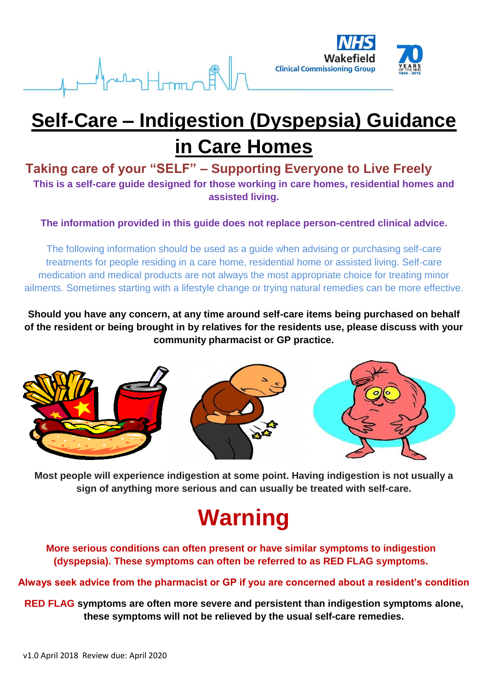



## **Self-Care – Indigestion (Dyspepsia) Guidance in Care Homes**

#### **Taking care of your "SELF" – Supporting Everyone to Live Freely This is a self-care guide designed for those working in care homes, residential homes and assisted living.**

**The information provided in this guide does not replace person-centred clinical advice.**

The following information should be used as a guide when advising or purchasing self-care treatments for people residing in a care home, residential home or assisted living. Self-care medication and medical products are not always the most appropriate choice for treating minor ailments. Sometimes starting with a lifestyle change or trying natural remedies can be more effective.

**Should you have any concern, at any time around self-care items being purchased on behalf of the resident or being brought in by relatives for the residents use, please discuss with your community pharmacist or GP practice.**



**Most people will experience indigestion at some point. Having indigestion is not usually a sign of anything more serious and can usually be treated with self-care.**

# **Warning**

**More serious conditions can often present or have similar symptoms to indigestion (dyspepsia). These symptoms can often be referred to as RED FLAG symptoms.** 

#### **Always seek advice from the pharmacist or GP if you are concerned about a resident's condition**

**RED FLAG symptoms are often more severe and persistent than indigestion symptoms alone, these symptoms will not be relieved by the usual self-care remedies.**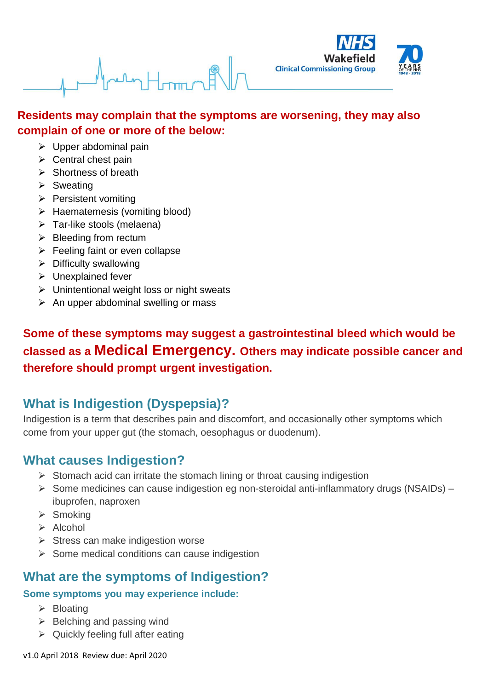#### **Residents may complain that the symptoms are worsening, they may also complain of one or more of the below:**

- $\triangleright$  Upper abdominal pain
- $\triangleright$  Central chest pain
- $\triangleright$  Shortness of breath
- $\triangleright$  Sweating
- $\triangleright$  Persistent vomiting
- $\triangleright$  Haematemesis (vomiting blood)
- $\triangleright$  Tar-like stools (melaena)
- $\triangleright$  Bleeding from rectum
- $\triangleright$  Feeling faint or even collapse
- $\triangleright$  Difficulty swallowing
- $\triangleright$  Unexplained fever
- $\triangleright$  Unintentional weight loss or night sweats
- $\triangleright$  An upper abdominal swelling or mass

**Some of these symptoms may suggest a gastrointestinal bleed which would be classed as a Medical Emergency. Others may indicate possible cancer and therefore should prompt urgent investigation.**

## **What is Indigestion (Dyspepsia)?**

Indigestion is a term that describes pain and discomfort, and occasionally other symptoms which come from your upper gut (the stomach, oesophagus or duodenum).

#### **What causes Indigestion?**

- $\triangleright$  Stomach acid can irritate the stomach lining or throat causing indigestion
- $\triangleright$  Some medicines can cause indigestion eg non-steroidal anti-inflammatory drugs (NSAIDs) ibuprofen, naproxen
- $\triangleright$  Smoking
- $\triangleright$  Alcohol
- $\triangleright$  Stress can make indigestion worse
- $\triangleright$  Some medical conditions can cause indigestion

#### **What are the symptoms of Indigestion?**

#### **Some symptoms you may experience include:**

- $\triangleright$  Bloating
- $\triangleright$  Belching and passing wind
- $\triangleright$  Quickly feeling full after eating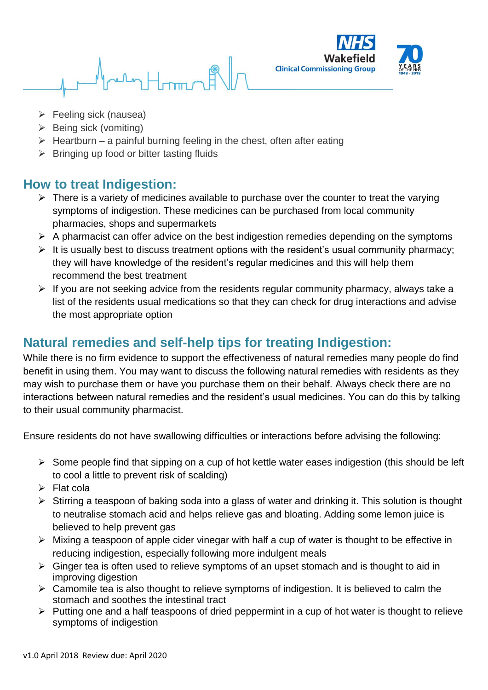

- **Feeling sick (nausea)**
- $\triangleright$  Being sick (vomiting)
- $\triangleright$  Heartburn a painful burning feeling in the chest, often after eating
- $\triangleright$  Bringing up food or bitter tasting fluids

#### **How to treat Indigestion:**

- $\triangleright$  There is a variety of medicines available to purchase over the counter to treat the varying symptoms of indigestion. These medicines can be purchased from local community pharmacies, shops and supermarkets
- $\triangleright$  A pharmacist can offer advice on the best indigestion remedies depending on the symptoms
- $\triangleright$  It is usually best to discuss treatment options with the resident's usual community pharmacy; they will have knowledge of the resident's regular medicines and this will help them recommend the best treatment
- $\triangleright$  If you are not seeking advice from the residents regular community pharmacy, always take a list of the residents usual medications so that they can check for drug interactions and advise the most appropriate option

### **Natural remedies and self-help tips for treating Indigestion:**

While there is no firm evidence to support the effectiveness of natural remedies many people do find benefit in using them. You may want to discuss the following natural remedies with residents as they may wish to purchase them or have you purchase them on their behalf. Always check there are no interactions between natural remedies and the resident's usual medicines. You can do this by talking to their usual community pharmacist.

Ensure residents do not have swallowing difficulties or interactions before advising the following:

- $\triangleright$  Some people find that sipping on a cup of hot kettle water eases indigestion (this should be left to cool a little to prevent risk of scalding)
- $\triangleright$  Flat cola
- $\triangleright$  Stirring a teaspoon of baking soda into a glass of water and drinking it. This solution is thought to neutralise stomach acid and helps relieve gas and bloating. Adding some lemon juice is believed to help prevent gas
- $\triangleright$  Mixing a teaspoon of apple cider vinegar with half a cup of water is thought to be effective in reducing indigestion, especially following more indulgent meals
- $\triangleright$  Ginger tea is often used to relieve symptoms of an upset stomach and is thought to aid in improving digestion
- $\triangleright$  Camomile tea is also thought to relieve symptoms of indigestion. It is believed to calm the stomach and soothes the intestinal tract
- $\triangleright$  Putting one and a half teaspoons of dried peppermint in a cup of hot water is thought to relieve symptoms of indigestion